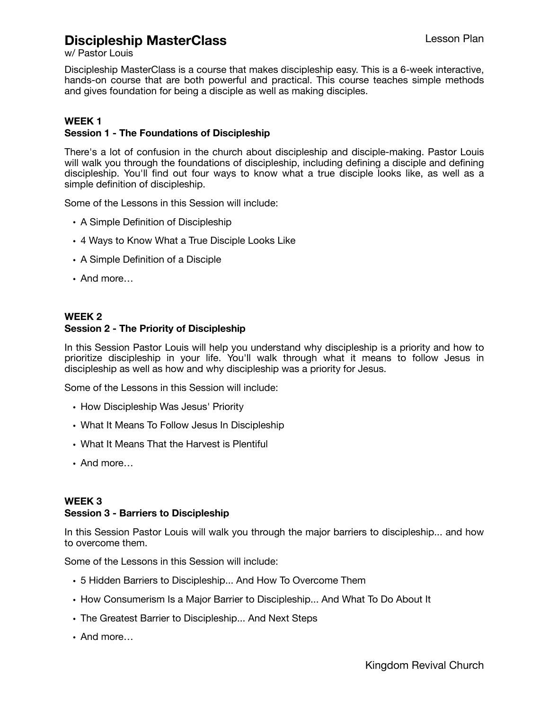# **Discipleship MasterClass**

w/ Pastor Louis

Discipleship MasterClass is a course that makes discipleship easy. This is a 6-week interactive, hands-on course that are both powerful and practical. This course teaches simple methods and gives foundation for being a disciple as well as making disciples.

### **WEEK 1**

### **Session 1 - The Foundations of Discipleship**

There's a lot of confusion in the church about discipleship and disciple-making. Pastor Louis will walk you through the foundations of discipleship, including defining a disciple and defining discipleship. You'll find out four ways to know what a true disciple looks like, as well as a simple definition of discipleship.

Some of the Lessons in this Session will include:

- A Simple Definition of Discipleship
- 4 Ways to Know What a True Disciple Looks Like
- A Simple Definition of a Disciple
- And more…

### **WEEK 2 Session 2 - The Priority of Discipleship**

In this Session Pastor Louis will help you understand why discipleship is a priority and how to prioritize discipleship in your life. You'll walk through what it means to follow Jesus in discipleship as well as how and why discipleship was a priority for Jesus.

Some of the Lessons in this Session will include:

- How Discipleship Was Jesus' Priority
- What It Means To Follow Jesus In Discipleship
- What It Means That the Harvest is Plentiful
- And more…

#### **WEEK 3 Session 3 - Barriers to Discipleship**

In this Session Pastor Louis will walk you through the major barriers to discipleship... and how to overcome them.

Some of the Lessons in this Session will include:

- 5 Hidden Barriers to Discipleship... And How To Overcome Them
- How Consumerism Is a Major Barrier to Discipleship... And What To Do About It
- The Greatest Barrier to Discipleship... And Next Steps
- And more…